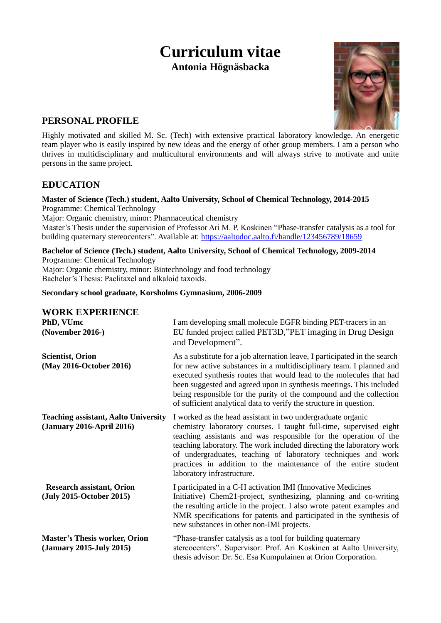# **Curriculum vitae Antonia Högnäsbacka**



## **PERSONAL PROFILE**

Highly motivated and skilled M. Sc. (Tech) with extensive practical laboratory knowledge. An energetic team player who is easily inspired by new ideas and the energy of other group members. I am a person who thrives in multidisciplinary and multicultural environments and will always strive to motivate and unite persons in the same project.

## **EDUCATION**

#### **Master of Science (Tech.) student, Aalto University, School of Chemical Technology, 2014-2015** Programme: Chemical Technology

Major: Organic chemistry, minor: Pharmaceutical chemistry

Master's Thesis under the supervision of Professor Ari M. P. Koskinen "Phase-transfer catalysis as a tool for building quaternary stereocenters". Available at:<https://aaltodoc.aalto.fi/handle/123456789/18659>

**Bachelor of Science (Tech.) student, Aalto University, School of Chemical Technology, 2009-2014** Programme: Chemical Technology Major: Organic chemistry, minor: Biotechnology and food technology Bachelor's Thesis: Paclitaxel and alkaloid taxoids.

#### **Secondary school graduate, Korsholms Gymnasium, 2006-2009**

#### **WORK EXPERIENCE**

| PhD, VUmc<br>(November 2016-)                                            | I am developing small molecule EGFR binding PET-tracers in an<br>EU funded project called PET3D,"PET imaging in Drug Design<br>and Development".                                                                                                                                                                                                                                                                                                                                                                                                                                                                                                                                                                                                                                                                                                                                               |  |
|--------------------------------------------------------------------------|------------------------------------------------------------------------------------------------------------------------------------------------------------------------------------------------------------------------------------------------------------------------------------------------------------------------------------------------------------------------------------------------------------------------------------------------------------------------------------------------------------------------------------------------------------------------------------------------------------------------------------------------------------------------------------------------------------------------------------------------------------------------------------------------------------------------------------------------------------------------------------------------|--|
| <b>Scientist, Orion</b><br>(May 2016-October 2016)                       | As a substitute for a job alternation leave, I participated in the search<br>for new active substances in a multidisciplinary team. I planned and<br>executed synthesis routes that would lead to the molecules that had<br>been suggested and agreed upon in synthesis meetings. This included<br>being responsible for the purity of the compound and the collection<br>of sufficient analytical data to verify the structure in question.<br>I worked as the head assistant in two undergraduate organic<br>chemistry laboratory courses. I taught full-time, supervised eight<br>teaching assistants and was responsible for the operation of the<br>teaching laboratory. The work included directing the laboratory work<br>of undergraduates, teaching of laboratory techniques and work<br>practices in addition to the maintenance of the entire student<br>laboratory infrastructure. |  |
| <b>Teaching assistant, Aalto University</b><br>(January 2016-April 2016) |                                                                                                                                                                                                                                                                                                                                                                                                                                                                                                                                                                                                                                                                                                                                                                                                                                                                                                |  |
| <b>Research assistant, Orion</b><br>(July 2015-October 2015)             | I participated in a C-H activation IMI (Innovative Medicines<br>Initiative) Chem21-project, synthesizing, planning and co-writing<br>the resulting article in the project. I also wrote patent examples and<br>NMR specifications for patents and participated in the synthesis of<br>new substances in other non-IMI projects.                                                                                                                                                                                                                                                                                                                                                                                                                                                                                                                                                                |  |
| <b>Master's Thesis worker, Orion</b><br>(January 2015-July 2015)         | "Phase-transfer catalysis as a tool for building quaternary<br>stereocenters". Supervisor: Prof. Ari Koskinen at Aalto University,<br>thesis advisor: Dr. Sc. Esa Kumpulainen at Orion Corporation.                                                                                                                                                                                                                                                                                                                                                                                                                                                                                                                                                                                                                                                                                            |  |